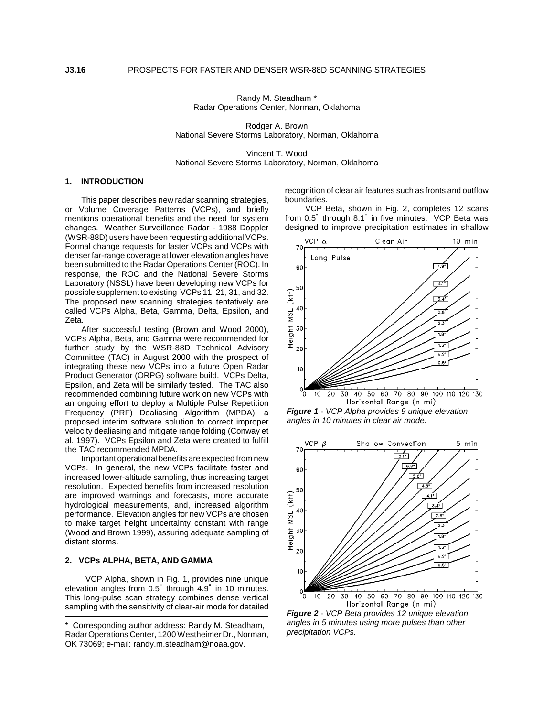Randy M. Steadham \* Radar Operations Center, Norman, Oklahoma

Rodger A. Brown National Severe Storms Laboratory, Norman, Oklahoma

Vincent T. Wood National Severe Storms Laboratory, Norman, Oklahoma

### **1. INTRODUCTION**

This paper describes new radar scanning strategies, or Volume Coverage Patterns (VCPs), and briefly mentions operational benefits and the need for system changes. Weather Surveillance Radar - 1988 Doppler (WSR-88D) users have been requesting additional VCPs. Formal change requests for faster VCPs and VCPs with denser far-range coverage at lower elevation angles have been submitted to the Radar Operations Center (ROC). In response, the ROC and the National Severe Storms Laboratory (NSSL) have been developing new VCPs for possible supplement to existing VCPs 11, 21, 31, and 32. The proposed new scanning strategies tentatively are called VCPs Alpha, Beta, Gamma, Delta, Epsilon, and Zeta.

After successful testing (Brown and Wood 2000), VCPs Alpha, Beta, and Gamma were recommended for further study by the WSR-88D Technical Advisory Committee (TAC) in August 2000 with the prospect of integrating these new VCPs into a future Open Radar Product Generator (ORPG) software build. VCPs Delta, Epsilon, and Zeta will be similarly tested. The TAC also recommended combining future work on new VCPs with an ongoing effort to deploy a Multiple Pulse Repetition Frequency (PRF) Dealiasing Algorithm (MPDA), a proposed interim software solution to correct improper velocity dealiasing and mitigate range folding (Conway et al. 1997). VCPs Epsilon and Zeta were created to fulfill the TAC recommended MPDA.

Important operational benefits are expected from new VCPs. In general, the new VCPs facilitate faster and increased lower-altitude sampling, thus increasing target resolution. Expected benefits from increased resolution are improved warnings and forecasts, more accurate hydrological measurements, and, increased algorithm performance. Elevation angles for new VCPs are chosen to make target height uncertainty constant with range (Wood and Brown 1999), assuring adequate sampling of distant storms.

#### **2. VCPs ALPHA, BETA, AND GAMMA**

VCP Alpha, shown in Fig. 1, provides nine unique elevation angles from 0.5" through 4.9" in 10 minutes. This long-pulse scan strategy combines dense vertical sampling with the sensitivity of clear-air mode for detailed

recognition of clear air features such as fronts and outflow boundaries.

VCP Beta, shown in Fig. 2, completes 12 scans from 0.5" through 8.1" in five minutes. VCP Beta was designed to improve precipitation estimates in shallow







*Figure 2 - VCP Beta provides 12 unique elevation angles in 5 minutes using more pulses than other precipitation VCPs.*

<sup>\*</sup> Corresponding author address: Randy M. Steadham, Radar Operations Center, 1200 Westheimer Dr., Norman, OK 73069; e-mail: randy.m.steadham@noaa.gov.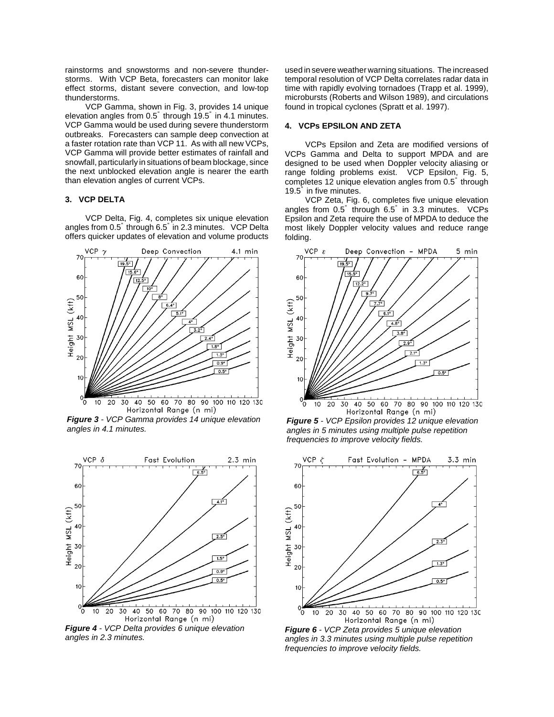rainstorms and snowstorms and non-severe thunderstorms. With VCP Beta, forecasters can monitor lake effect storms, distant severe convection, and low-top thunderstorms.

VCP Gamma, shown in Fig. 3, provides 14 unique elevation angles from 0.5" through 19.5" in 4.1 minutes. VCP Gamma would be used during severe thunderstorm outbreaks. Forecasters can sample deep convection at a faster rotation rate than VCP 11. As with all new VCPs, VCP Gamma will provide better estimates of rainfall and snowfall, particularly in situations of beam blockage, since the next unblocked elevation angle is nearer the earth than elevation angles of current VCPs.

# **3. VCP DELTA**

VCP Delta, Fig. 4, completes six unique elevation angles from 0.5" through 6.5" in 2.3 minutes. VCP Delta offers quicker updates of elevation and volume products



*Figure 3 - VCP Gamma provides 14 unique elevation angles in 4.1 minutes.*



*Figure 4 - VCP Delta provides 6 unique elevation angles in 2.3 minutes.*

used in severe weather warning situations. The increased temporal resolution of VCP Delta correlates radar data in time with rapidly evolving tornadoes (Trapp et al. 1999), microbursts (Roberts and Wilson 1989), and circulations found in tropical cyclones (Spratt et al. 1997).

### **4. VCPs EPSILON AND ZETA**

VCPs Epsilon and Zeta are modified versions of VCPs Gamma and Delta to support MPDA and are designed to be used when Doppler velocity aliasing or range folding problems exist. VCP Epsilon, Fig. 5, completes 12 unique elevation angles from 0.5" through 19.5" in five minutes.

VCP Zeta, Fig. 6, completes five unique elevation angles from 0.5" through 6.5" in 3.3 minutes. VCPs Epsilon and Zeta require the use of MPDA to deduce the most likely Doppler velocity values and reduce range folding.



*Figure 5 - VCP Epsilon provides 12 unique elevation angles in 5 minutes using multiple pulse repetition frequencies to improve velocity fields.*



*Figure 6 - VCP Zeta provides 5 unique elevation angles in 3.3 minutes using multiple pulse repetition frequencies to improve velocity fields.*